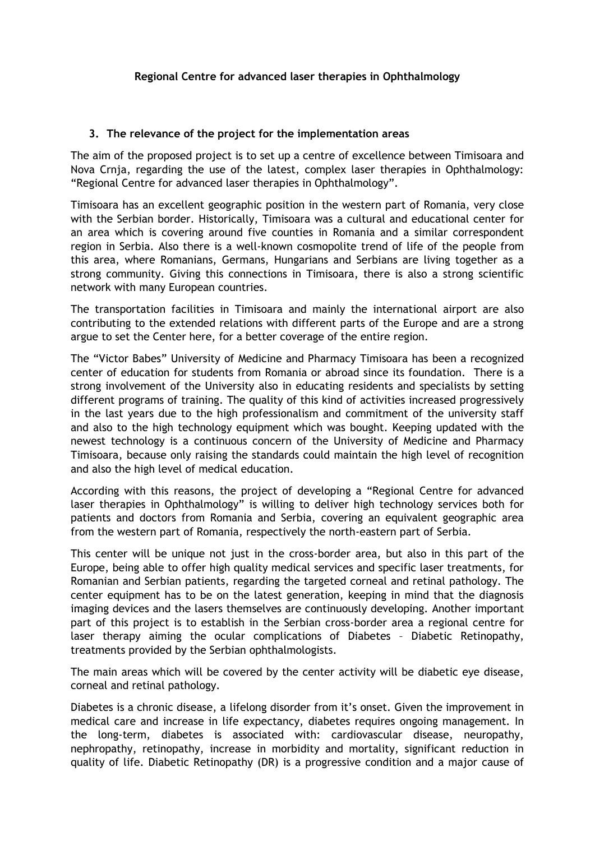## **3. The relevance of the project for the implementation areas**

The aim of the proposed project is to set up a centre of excellence between Timisoara and Nova Crnja, regarding the use of the latest, complex laser therapies in Ophthalmology: "Regional Centre for advanced laser therapies in Ophthalmology".

Timisoara has an excellent geographic position in the western part of Romania, very close with the Serbian border. Historically, Timisoara was a cultural and educational center for an area which is covering around five counties in Romania and a similar correspondent region in Serbia. Also there is a well-known cosmopolite trend of life of the people from this area, where Romanians, Germans, Hungarians and Serbians are living together as a strong community. Giving this connections in Timisoara, there is also a strong scientific network with many European countries.

The transportation facilities in Timisoara and mainly the international airport are also contributing to the extended relations with different parts of the Europe and are a strong argue to set the Center here, for a better coverage of the entire region.

The "Victor Babes" University of Medicine and Pharmacy Timisoara has been a recognized center of education for students from Romania or abroad since its foundation. There is a strong involvement of the University also in educating residents and specialists by setting different programs of training. The quality of this kind of activities increased progressively in the last years due to the high professionalism and commitment of the university staff and also to the high technology equipment which was bought. Keeping updated with the newest technology is a continuous concern of the University of Medicine and Pharmacy Timisoara, because only raising the standards could maintain the high level of recognition and also the high level of medical education.

According with this reasons, the project of developing a "Regional Centre for advanced laser therapies in Ophthalmology" is willing to deliver high technology services both for patients and doctors from Romania and Serbia, covering an equivalent geographic area from the western part of Romania, respectively the north-eastern part of Serbia.

This center will be unique not just in the cross-border area, but also in this part of the Europe, being able to offer high quality medical services and specific laser treatments, for Romanian and Serbian patients, regarding the targeted corneal and retinal pathology. The center equipment has to be on the latest generation, keeping in mind that the diagnosis imaging devices and the lasers themselves are continuously developing. Another important part of this project is to establish in the Serbian cross-border area a regional centre for laser therapy aiming the ocular complications of Diabetes – Diabetic Retinopathy, treatments provided by the Serbian ophthalmologists.

The main areas which will be covered by the center activity will be diabetic eye disease, corneal and retinal pathology.

Diabetes is a chronic disease, a lifelong disorder from it's onset. Given the improvement in medical care and increase in life expectancy, diabetes requires ongoing management. In the long-term, diabetes is associated with: cardiovascular disease, neuropathy, nephropathy, retinopathy, increase in morbidity and mortality, significant reduction in quality of life. Diabetic Retinopathy (DR) is a progressive condition and a major cause of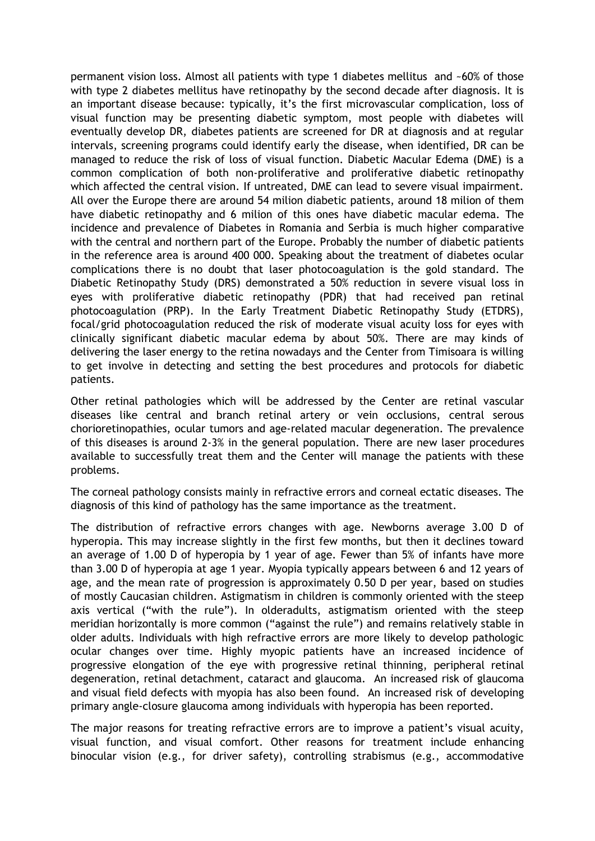permanent vision loss. Almost all patients with type 1 diabetes mellitus and ~60% of those with type 2 diabetes mellitus have retinopathy by the second decade after diagnosis. It is an important disease because: typically, it's the first microvascular complication, loss of visual function may be presenting diabetic symptom, most people with diabetes will eventually develop DR, diabetes patients are screened for DR at diagnosis and at regular intervals, screening programs could identify early the disease, when identified, DR can be managed to reduce the risk of loss of visual function. Diabetic Macular Edema (DME) is a common complication of both non-proliferative and proliferative diabetic retinopathy which affected the central vision. If untreated, DME can lead to severe visual impairment. All over the Europe there are around 54 milion diabetic patients, around 18 milion of them have diabetic retinopathy and 6 milion of this ones have diabetic macular edema. The incidence and prevalence of Diabetes in Romania and Serbia is much higher comparative with the central and northern part of the Europe. Probably the number of diabetic patients in the reference area is around 400 000. Speaking about the treatment of diabetes ocular complications there is no doubt that laser photocoagulation is the gold standard. The Diabetic Retinopathy Study (DRS) demonstrated a 50% reduction in severe visual loss in eyes with proliferative diabetic retinopathy (PDR) that had received pan retinal photocoagulation (PRP). In the Early Treatment Diabetic Retinopathy Study (ETDRS), focal/grid photocoagulation reduced the risk of moderate visual acuity loss for eyes with clinically significant diabetic macular edema by about 50%. There are may kinds of delivering the laser energy to the retina nowadays and the Center from Timisoara is willing to get involve in detecting and setting the best procedures and protocols for diabetic patients.

Other retinal pathologies which will be addressed by the Center are retinal vascular diseases like central and branch retinal artery or vein occlusions, central serous chorioretinopathies, ocular tumors and age-related macular degeneration. The prevalence of this diseases is around 2-3% in the general population. There are new laser procedures available to successfully treat them and the Center will manage the patients with these problems.

The corneal pathology consists mainly in refractive errors and corneal ectatic diseases. The diagnosis of this kind of pathology has the same importance as the treatment.

The distribution of refractive errors changes with age. Newborns average 3.00 D of hyperopia. This may increase slightly in the first few months, but then it declines toward an average of 1.00 D of hyperopia by 1 year of age. Fewer than 5% of infants have more than 3.00 D of hyperopia at age 1 year. Myopia typically appears between 6 and 12 years of age, and the mean rate of progression is approximately 0.50 D per year, based on studies of mostly Caucasian children. Astigmatism in children is commonly oriented with the steep axis vertical ("with the rule"). In olderadults, astigmatism oriented with the steep meridian horizontally is more common ("against the rule") and remains relatively stable in older adults. Individuals with high refractive errors are more likely to develop pathologic ocular changes over time. Highly myopic patients have an increased incidence of progressive elongation of the eye with progressive retinal thinning, peripheral retinal degeneration, retinal detachment, cataract and glaucoma. An increased risk of glaucoma and visual field defects with myopia has also been found. An increased risk of developing primary angle-closure glaucoma among individuals with hyperopia has been reported.

The major reasons for treating refractive errors are to improve a patient's visual acuity, visual function, and visual comfort. Other reasons for treatment include enhancing binocular vision (e.g., for driver safety), controlling strabismus (e.g., accommodative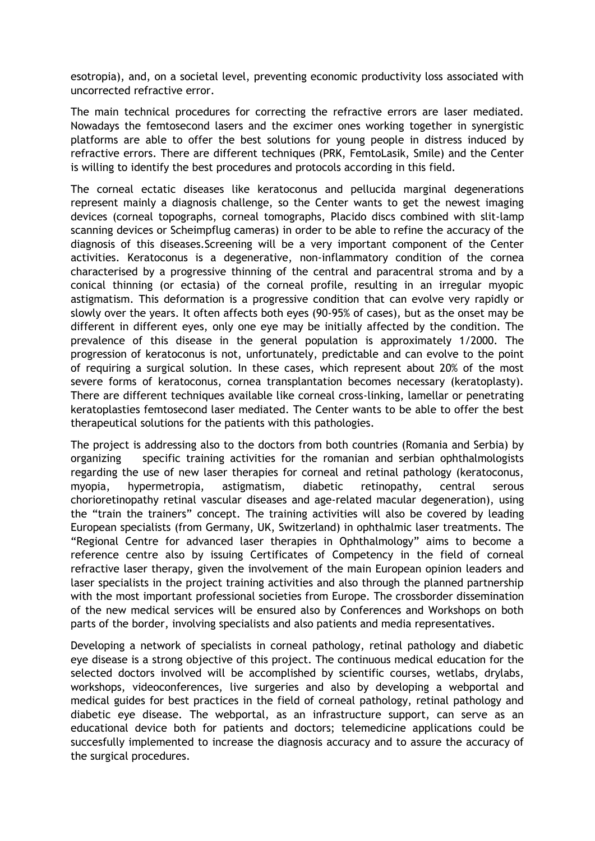esotropia), and, on a societal level, preventing economic productivity loss associated with uncorrected refractive error.

The main technical procedures for correcting the refractive errors are laser mediated. Nowadays the femtosecond lasers and the excimer ones working together in synergistic platforms are able to offer the best solutions for young people in distress induced by refractive errors. There are different techniques (PRK, FemtoLasik, Smile) and the Center is willing to identify the best procedures and protocols according in this field.

The corneal ectatic diseases like keratoconus and pellucida marginal degenerations represent mainly a diagnosis challenge, so the Center wants to get the newest imaging devices (corneal topographs, corneal tomographs, Placido discs combined with slit-lamp scanning devices or Scheimpflug cameras) in order to be able to refine the accuracy of the diagnosis of this diseases.Screening will be a very important component of the Center activities. Keratoconus is a degenerative, non-inflammatory condition of the cornea characterised by a progressive thinning of the central and paracentral stroma and by a conical thinning (or ectasia) of the corneal profile, resulting in an irregular myopic astigmatism. This deformation is a progressive condition that can evolve very rapidly or slowly over the years. It often affects both eyes (90-95% of cases), but as the onset may be different in different eyes, only one eye may be initially affected by the condition. The prevalence of this disease in the general population is approximately 1/2000. The progression of keratoconus is not, unfortunately, predictable and can evolve to the point of requiring a surgical solution. In these cases, which represent about 20% of the most severe forms of keratoconus, cornea transplantation becomes necessary (keratoplasty). There are different techniques available like corneal cross-linking, lamellar or penetrating keratoplasties femtosecond laser mediated. The Center wants to be able to offer the best therapeutical solutions for the patients with this pathologies.

The project is addressing also to the doctors from both countries (Romania and Serbia) by organizing specific training activities for the romanian and serbian ophthalmologists regarding the use of new laser therapies for corneal and retinal pathology (keratoconus, myopia, hypermetropia, astigmatism, diabetic retinopathy, central serous chorioretinopathy retinal vascular diseases and age-related macular degeneration), using the "train the trainers" concept. The training activities will also be covered by leading European specialists (from Germany, UK, Switzerland) in ophthalmic laser treatments. The "Regional Centre for advanced laser therapies in Ophthalmology" aims to become a reference centre also by issuing Certificates of Competency in the field of corneal refractive laser therapy, given the involvement of the main European opinion leaders and laser specialists in the project training activities and also through the planned partnership with the most important professional societies from Europe. The crossborder dissemination of the new medical services will be ensured also by Conferences and Workshops on both parts of the border, involving specialists and also patients and media representatives.

Developing a network of specialists in corneal pathology, retinal pathology and diabetic eye disease is a strong objective of this project. The continuous medical education for the selected doctors involved will be accomplished by scientific courses, wetlabs, drylabs, workshops, videoconferences, live surgeries and also by developing a webportal and medical guides for best practices in the field of corneal pathology, retinal pathology and diabetic eye disease. The webportal, as an infrastructure support, can serve as an educational device both for patients and doctors; telemedicine applications could be succesfully implemented to increase the diagnosis accuracy and to assure the accuracy of the surgical procedures.